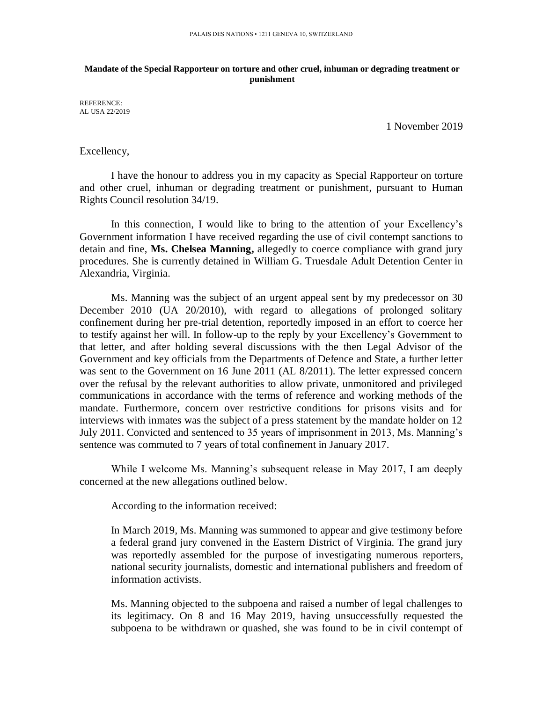## **Mandate of the Special Rapporteur on torture and other cruel, inhuman or degrading treatment or punishment**

REFERENCE: AL USA 22/2019

1 November 2019

## Excellency,

I have the honour to address you in my capacity as Special Rapporteur on torture and other cruel, inhuman or degrading treatment or punishment, pursuant to Human Rights Council resolution 34/19.

In this connection, I would like to bring to the attention of your Excellency's Government information I have received regarding the use of civil contempt sanctions to detain and fine, **Ms. Chelsea Manning,** allegedly to coerce compliance with grand jury procedures. She is currently detained in William G. Truesdale Adult Detention Center in Alexandria, Virginia.

Ms. Manning was the subject of an urgent appeal sent by my predecessor on 30 December 2010 (UA 20/2010), with regard to allegations of prolonged solitary confinement during her pre-trial detention, reportedly imposed in an effort to coerce her to testify against her will. In follow-up to the reply by your Excellency's Government to that letter, and after holding several discussions with the then Legal Advisor of the Government and key officials from the Departments of Defence and State, a further letter was sent to the Government on 16 June 2011 (AL 8/2011). The letter expressed concern over the refusal by the relevant authorities to allow private, unmonitored and privileged communications in accordance with the terms of reference and working methods of the mandate. Furthermore, concern over restrictive conditions for prisons visits and for interviews with inmates was the subject of a press statement by the mandate holder on 12 July 2011. Convicted and sentenced to 35 years of imprisonment in 2013, Ms. Manning's sentence was commuted to 7 years of total confinement in January 2017.

While I welcome Ms. Manning's subsequent release in May 2017, I am deeply concerned at the new allegations outlined below.

According to the information received:

In March 2019, Ms. Manning was summoned to appear and give testimony before a federal grand jury convened in the Eastern District of Virginia. The grand jury was reportedly assembled for the purpose of investigating numerous reporters, national security journalists, domestic and international publishers and freedom of information activists.

Ms. Manning objected to the subpoena and raised a number of legal challenges to its legitimacy. On 8 and 16 May 2019, having unsuccessfully requested the subpoena to be withdrawn or quashed, she was found to be in civil contempt of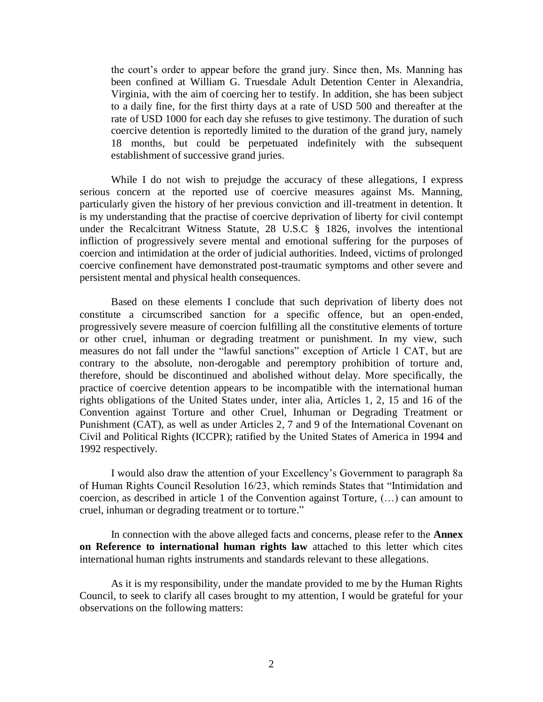the court's order to appear before the grand jury. Since then, Ms. Manning has been confined at William G. Truesdale Adult Detention Center in Alexandria, Virginia, with the aim of coercing her to testify. In addition, she has been subject to a daily fine, for the first thirty days at a rate of USD 500 and thereafter at the rate of USD 1000 for each day she refuses to give testimony. The duration of such coercive detention is reportedly limited to the duration of the grand jury, namely 18 months, but could be perpetuated indefinitely with the subsequent establishment of successive grand juries.

While I do not wish to prejudge the accuracy of these allegations, I express serious concern at the reported use of coercive measures against Ms. Manning, particularly given the history of her previous conviction and ill-treatment in detention. It is my understanding that the practise of coercive deprivation of liberty for civil contempt under the Recalcitrant Witness Statute, 28 U.S.C § 1826, involves the intentional infliction of progressively severe mental and emotional suffering for the purposes of coercion and intimidation at the order of judicial authorities. Indeed, victims of prolonged coercive confinement have demonstrated post-traumatic symptoms and other severe and persistent mental and physical health consequences.

Based on these elements I conclude that such deprivation of liberty does not constitute a circumscribed sanction for a specific offence, but an open-ended, progressively severe measure of coercion fulfilling all the constitutive elements of torture or other cruel, inhuman or degrading treatment or punishment. In my view, such measures do not fall under the "lawful sanctions" exception of Article 1 CAT, but are contrary to the absolute, non-derogable and peremptory prohibition of torture and, therefore, should be discontinued and abolished without delay. More specifically, the practice of coercive detention appears to be incompatible with the international human rights obligations of the United States under, inter alia, Articles 1, 2, 15 and 16 of the Convention against Torture and other Cruel, Inhuman or Degrading Treatment or Punishment (CAT), as well as under Articles 2, 7 and 9 of the International Covenant on Civil and Political Rights (ICCPR); ratified by the United States of America in 1994 and 1992 respectively.

I would also draw the attention of your Excellency's Government to paragraph 8a of Human Rights Council Resolution 16/23, which reminds States that "Intimidation and coercion, as described in article 1 of the Convention against Torture, (…) can amount to cruel, inhuman or degrading treatment or to torture."

In connection with the above alleged facts and concerns, please refer to the **Annex on Reference to international human rights law** attached to this letter which cites international human rights instruments and standards relevant to these allegations.

As it is my responsibility, under the mandate provided to me by the Human Rights Council, to seek to clarify all cases brought to my attention, I would be grateful for your observations on the following matters: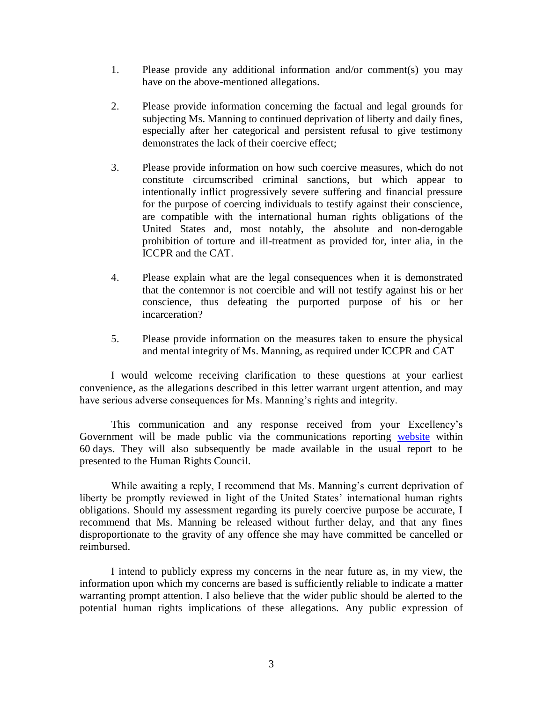- 1. Please provide any additional information and/or comment(s) you may have on the above-mentioned allegations.
- 2. Please provide information concerning the factual and legal grounds for subjecting Ms. Manning to continued deprivation of liberty and daily fines, especially after her categorical and persistent refusal to give testimony demonstrates the lack of their coercive effect;
- 3. Please provide information on how such coercive measures, which do not constitute circumscribed criminal sanctions, but which appear to intentionally inflict progressively severe suffering and financial pressure for the purpose of coercing individuals to testify against their conscience, are compatible with the international human rights obligations of the United States and, most notably, the absolute and non-derogable prohibition of torture and ill-treatment as provided for, inter alia, in the ICCPR and the CAT.
- 4. Please explain what are the legal consequences when it is demonstrated that the contemnor is not coercible and will not testify against his or her conscience, thus defeating the purported purpose of his or her incarceration?
- 5. Please provide information on the measures taken to ensure the physical and mental integrity of Ms. Manning, as required under ICCPR and CAT

I would welcome receiving clarification to these questions at your earliest convenience, as the allegations described in this letter warrant urgent attention, and may have serious adverse consequences for Ms. Manning's rights and integrity.

This communication and any response received from your Excellency's Government will be made public via the communications reporting [website](https://spcommreports.ohchr.org/) within 60 days. They will also subsequently be made available in the usual report to be presented to the Human Rights Council.

While awaiting a reply, I recommend that Ms. Manning's current deprivation of liberty be promptly reviewed in light of the United States' international human rights obligations. Should my assessment regarding its purely coercive purpose be accurate, I recommend that Ms. Manning be released without further delay, and that any fines disproportionate to the gravity of any offence she may have committed be cancelled or reimbursed.

I intend to publicly express my concerns in the near future as, in my view, the information upon which my concerns are based is sufficiently reliable to indicate a matter warranting prompt attention. I also believe that the wider public should be alerted to the potential human rights implications of these allegations. Any public expression of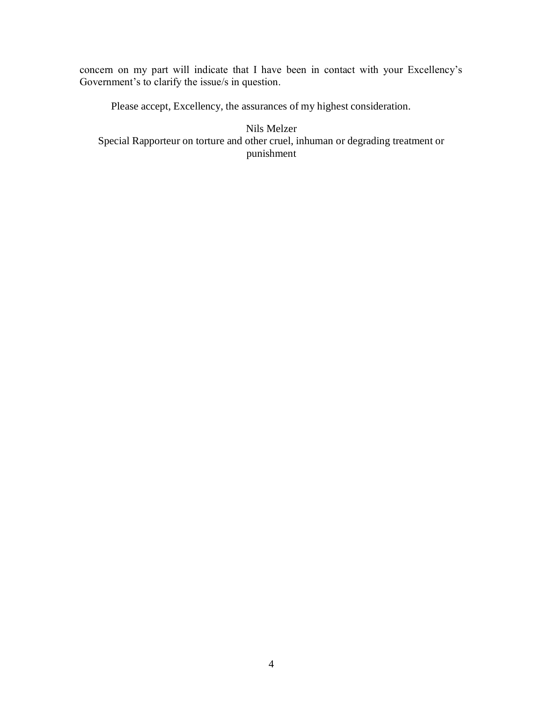concern on my part will indicate that I have been in contact with your Excellency's Government's to clarify the issue/s in question.

Please accept, Excellency, the assurances of my highest consideration.

Nils Melzer Special Rapporteur on torture and other cruel, inhuman or degrading treatment or punishment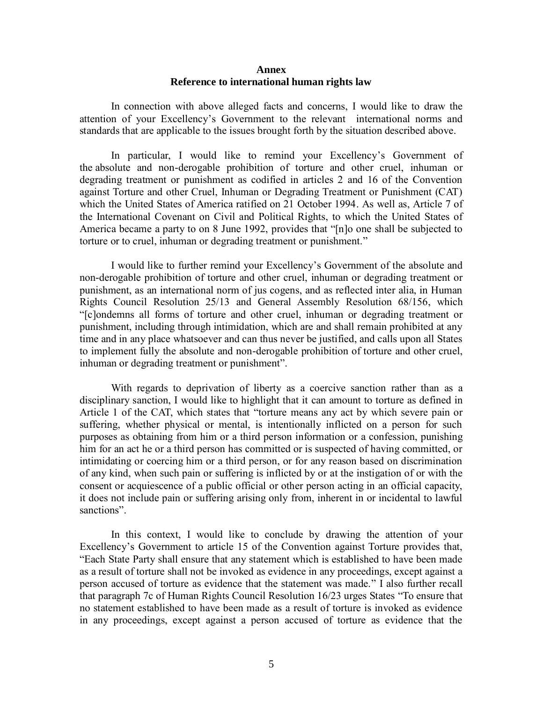## **Annex Reference to international human rights law**

In connection with above alleged facts and concerns, I would like to draw the attention of your Excellency's Government to the relevant international norms and standards that are applicable to the issues brought forth by the situation described above.

In particular, I would like to remind your Excellency's Government of the absolute and non-derogable prohibition of torture and other cruel, inhuman or degrading treatment or punishment as codified in articles 2 and 16 of the Convention against Torture and other Cruel, Inhuman or Degrading Treatment or Punishment (CAT) which the United States of America ratified on 21 October 1994. As well as, Article 7 of the International Covenant on Civil and Political Rights, to which the United States of America became a party to on 8 June 1992, provides that "[n]o one shall be subjected to torture or to cruel, inhuman or degrading treatment or punishment."

I would like to further remind your Excellency's Government of the absolute and non-derogable prohibition of torture and other cruel, inhuman or degrading treatment or punishment, as an international norm of jus cogens, and as reflected inter alia, in Human Rights Council Resolution 25/13 and General Assembly Resolution 68/156, which "[c]ondemns all forms of torture and other cruel, inhuman or degrading treatment or punishment, including through intimidation, which are and shall remain prohibited at any time and in any place whatsoever and can thus never be justified, and calls upon all States to implement fully the absolute and non-derogable prohibition of torture and other cruel, inhuman or degrading treatment or punishment".

With regards to deprivation of liberty as a coercive sanction rather than as a disciplinary sanction, I would like to highlight that it can amount to torture as defined in Article 1 of the CAT, which states that "torture means any act by which severe pain or suffering, whether physical or mental, is intentionally inflicted on a person for such purposes as obtaining from him or a third person information or a confession, punishing him for an act he or a third person has committed or is suspected of having committed, or intimidating or coercing him or a third person, or for any reason based on discrimination of any kind, when such pain or suffering is inflicted by or at the instigation of or with the consent or acquiescence of a public official or other person acting in an official capacity, it does not include pain or suffering arising only from, inherent in or incidental to lawful sanctions".

In this context, I would like to conclude by drawing the attention of your Excellency's Government to article 15 of the Convention against Torture provides that, "Each State Party shall ensure that any statement which is established to have been made as a result of torture shall not be invoked as evidence in any proceedings, except against a person accused of torture as evidence that the statement was made." I also further recall that paragraph 7c of Human Rights Council Resolution 16/23 urges States "To ensure that no statement established to have been made as a result of torture is invoked as evidence in any proceedings, except against a person accused of torture as evidence that the